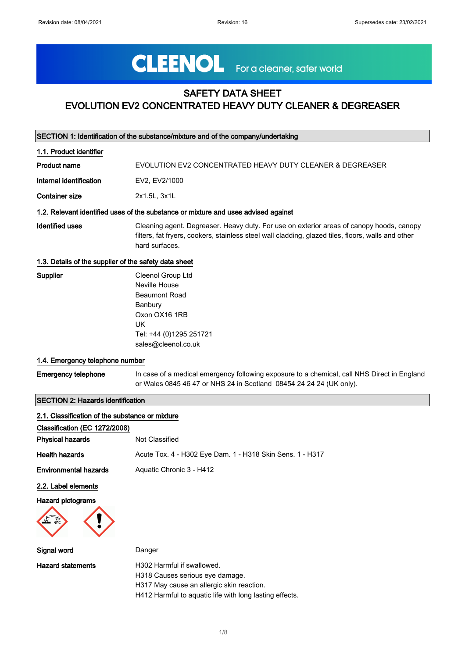# CLEENOL For a cleaner, safer world

## SAFETY DATA SHEET EVOLUTION EV2 CONCENTRATED HEAVY DUTY CLEANER & DEGREASER

| SECTION 1: Identification of the substance/mixture and of the company/undertaking |                                                                                                                                                                                                                  |  |
|-----------------------------------------------------------------------------------|------------------------------------------------------------------------------------------------------------------------------------------------------------------------------------------------------------------|--|
| 1.1. Product identifier                                                           |                                                                                                                                                                                                                  |  |
| <b>Product name</b>                                                               | EVOLUTION EV2 CONCENTRATED HEAVY DUTY CLEANER & DEGREASER                                                                                                                                                        |  |
| Internal identification                                                           | EV2, EV2/1000                                                                                                                                                                                                    |  |
| <b>Container size</b>                                                             | 2x1.5L, 3x1L                                                                                                                                                                                                     |  |
|                                                                                   | 1.2. Relevant identified uses of the substance or mixture and uses advised against                                                                                                                               |  |
| <b>Identified uses</b>                                                            | Cleaning agent. Degreaser. Heavy duty. For use on exterior areas of canopy hoods, canopy<br>filters, fat fryers, cookers, stainless steel wall cladding, glazed tiles, floors, walls and other<br>hard surfaces. |  |
| 1.3. Details of the supplier of the safety data sheet                             |                                                                                                                                                                                                                  |  |
| Supplier                                                                          | Cleenol Group Ltd<br>Neville House<br><b>Beaumont Road</b><br>Banbury<br>Oxon OX16 1RB<br><b>UK</b><br>Tel: +44 (0)1295 251721<br>sales@cleenol.co.uk                                                            |  |
| 1.4. Emergency telephone number                                                   |                                                                                                                                                                                                                  |  |
| <b>Emergency telephone</b>                                                        | In case of a medical emergency following exposure to a chemical, call NHS Direct in England<br>or Wales 0845 46 47 or NHS 24 in Scotland 08454 24 24 24 (UK only).                                               |  |
| <b>SECTION 2: Hazards identification</b>                                          |                                                                                                                                                                                                                  |  |
| 2.1. Classification of the substance or mixture<br>Classification (EC 1272/2008)  |                                                                                                                                                                                                                  |  |
| <b>Physical hazards</b>                                                           | Not Classified                                                                                                                                                                                                   |  |
| <b>Health hazards</b>                                                             | Acute Tox. 4 - H302 Eye Dam. 1 - H318 Skin Sens. 1 - H317                                                                                                                                                        |  |
| <b>Environmental hazards</b>                                                      | Aquatic Chronic 3 - H412                                                                                                                                                                                         |  |
| 2.2. Label elements                                                               |                                                                                                                                                                                                                  |  |
| <b>Hazard pictograms</b>                                                          |                                                                                                                                                                                                                  |  |
| Signal word                                                                       | Danger                                                                                                                                                                                                           |  |
| <b>Hazard statements</b>                                                          | H302 Harmful if swallowed.<br>H318 Causes serious eye damage.<br>H317 May cause an allergic skin reaction.<br>H412 Harmful to aquatic life with long lasting effects.                                            |  |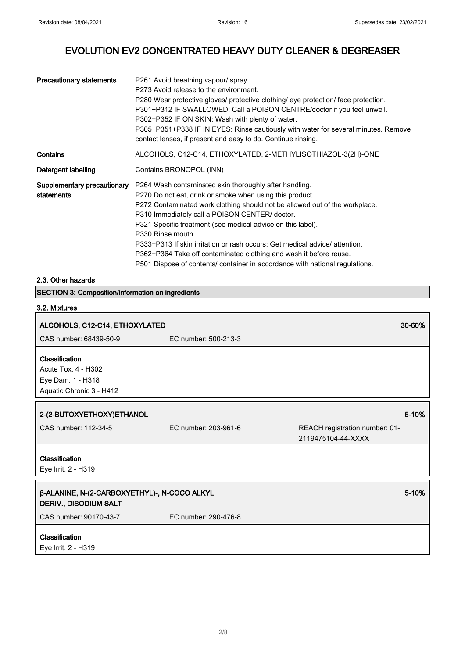┑

## EVOLUTION EV2 CONCENTRATED HEAVY DUTY CLEANER & DEGREASER

| <b>Precautionary statements</b>           | P261 Avoid breathing vapour/ spray.<br>P273 Avoid release to the environment.<br>P280 Wear protective gloves/ protective clothing/ eye protection/ face protection.<br>P301+P312 IF SWALLOWED: Call a POISON CENTRE/doctor if you feel unwell.<br>P302+P352 IF ON SKIN: Wash with plenty of water.<br>P305+P351+P338 IF IN EYES: Rinse cautiously with water for several minutes. Remove<br>contact lenses, if present and easy to do. Continue rinsing.                                                                                                                     |
|-------------------------------------------|------------------------------------------------------------------------------------------------------------------------------------------------------------------------------------------------------------------------------------------------------------------------------------------------------------------------------------------------------------------------------------------------------------------------------------------------------------------------------------------------------------------------------------------------------------------------------|
| Contains                                  | ALCOHOLS, C12-C14, ETHOXYLATED, 2-METHYLISOTHIAZOL-3(2H)-ONE                                                                                                                                                                                                                                                                                                                                                                                                                                                                                                                 |
| Detergent labelling                       | Contains BRONOPOL (INN)                                                                                                                                                                                                                                                                                                                                                                                                                                                                                                                                                      |
| Supplementary precautionary<br>statements | P264 Wash contaminated skin thoroughly after handling.<br>P270 Do not eat, drink or smoke when using this product.<br>P272 Contaminated work clothing should not be allowed out of the workplace.<br>P310 Immediately call a POISON CENTER/ doctor.<br>P321 Specific treatment (see medical advice on this label).<br>P330 Rinse mouth.<br>P333+P313 If skin irritation or rash occurs: Get medical advice/ attention.<br>P362+P364 Take off contaminated clothing and wash it before reuse.<br>P501 Dispose of contents/ container in accordance with national regulations. |

## 2.3. Other hazards

| <b>SECTION 3: Composition/information on ingredients</b>                               |                      |                                                      |        |
|----------------------------------------------------------------------------------------|----------------------|------------------------------------------------------|--------|
| 3.2. Mixtures                                                                          |                      |                                                      |        |
| ALCOHOLS, C12-C14, ETHOXYLATED                                                         |                      |                                                      | 30-60% |
| CAS number: 68439-50-9                                                                 | EC number: 500-213-3 |                                                      |        |
| Classification<br>Acute Tox. 4 - H302<br>Eye Dam. 1 - H318<br>Aquatic Chronic 3 - H412 |                      |                                                      |        |
|                                                                                        |                      |                                                      |        |
| 2-(2-BUTOXYETHOXY)ETHANOL                                                              |                      |                                                      | 5-10%  |
| CAS number: 112-34-5                                                                   | EC number: 203-961-6 | REACH registration number: 01-<br>2119475104-44-XXXX |        |
| Classification                                                                         |                      |                                                      |        |
| Eye Irrit. 2 - H319                                                                    |                      |                                                      |        |
| β-ALANINE, N-(2-CARBOXYETHYL)-, N-COCO ALKYL<br>DERIV., DISODIUM SALT                  |                      |                                                      | 5-10%  |
| CAS number: 90170-43-7                                                                 | EC number: 290-476-8 |                                                      |        |
| Classification<br>Eye Irrit. 2 - H319                                                  |                      |                                                      |        |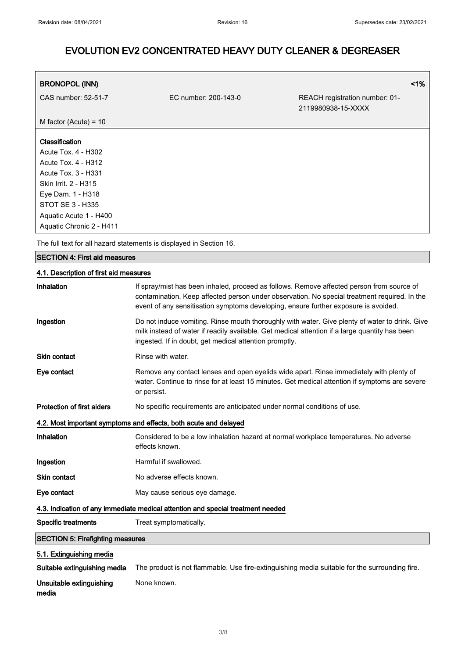٦

## EVOLUTION EV2 CONCENTRATED HEAVY DUTY CLEANER & DEGREASER

| <b>BRONOPOL (INN)</b>   |                      |                                                      | 1% |
|-------------------------|----------------------|------------------------------------------------------|----|
| CAS number: 52-51-7     | EC number: 200-143-0 | REACH registration number: 01-<br>2119980938-15-XXXX |    |
| M factor (Acute) = $10$ |                      |                                                      |    |
| <b>Classification</b>   |                      |                                                      |    |
| Acute Tox. 4 - H302     |                      |                                                      |    |
| Acute Tox. 4 - H312     |                      |                                                      |    |
| Acute Tox. 3 - H331     |                      |                                                      |    |
| Skin Irrit. 2 - H315    |                      |                                                      |    |
| Eye Dam. 1 - H318       |                      |                                                      |    |
| STOT SE 3 - H335        |                      |                                                      |    |

The full text for all hazard statements is displayed in Section 16.

#### SECTION 4: First aid measures

Aquatic Acute 1 - H400 Aquatic Chronic 2 - H411

#### 4.1. Description of first aid measures

| Inhalation                              | If spray/mist has been inhaled, proceed as follows. Remove affected person from source of<br>contamination. Keep affected person under observation. No special treatment required. In the<br>event of any sensitisation symptoms developing, ensure further exposure is avoided. |
|-----------------------------------------|----------------------------------------------------------------------------------------------------------------------------------------------------------------------------------------------------------------------------------------------------------------------------------|
| Ingestion                               | Do not induce vomiting. Rinse mouth thoroughly with water. Give plenty of water to drink. Give<br>milk instead of water if readily available. Get medical attention if a large quantity has been<br>ingested. If in doubt, get medical attention promptly.                       |
| <b>Skin contact</b>                     | Rinse with water.                                                                                                                                                                                                                                                                |
| Eye contact                             | Remove any contact lenses and open eyelids wide apart. Rinse immediately with plenty of<br>water. Continue to rinse for at least 15 minutes. Get medical attention if symptoms are severe<br>or persist.                                                                         |
| <b>Protection of first aiders</b>       | No specific requirements are anticipated under normal conditions of use.                                                                                                                                                                                                         |
|                                         | 4.2. Most important symptoms and effects, both acute and delayed                                                                                                                                                                                                                 |
| Inhalation                              | Considered to be a low inhalation hazard at normal workplace temperatures. No adverse<br>effects known.                                                                                                                                                                          |
| Ingestion                               | Harmful if swallowed.                                                                                                                                                                                                                                                            |
| <b>Skin contact</b>                     | No adverse effects known.                                                                                                                                                                                                                                                        |
| Eye contact                             | May cause serious eye damage.                                                                                                                                                                                                                                                    |
|                                         | 4.3. Indication of any immediate medical attention and special treatment needed                                                                                                                                                                                                  |
| <b>Specific treatments</b>              | Treat symptomatically.                                                                                                                                                                                                                                                           |
| <b>SECTION 5: Firefighting measures</b> |                                                                                                                                                                                                                                                                                  |
| 5.1. Extinguishing media                |                                                                                                                                                                                                                                                                                  |
|                                         | <b>Cultoble ortinguiching media</b> The product is not flammable. Use fire ortinguiching media quitable for the ourreunding fire                                                                                                                                                 |

Suitable extinguishing media The product is not flammable. Use fire-extinguishing media suitable for the surrounding fire.

Unsuitable extinguishing media None known.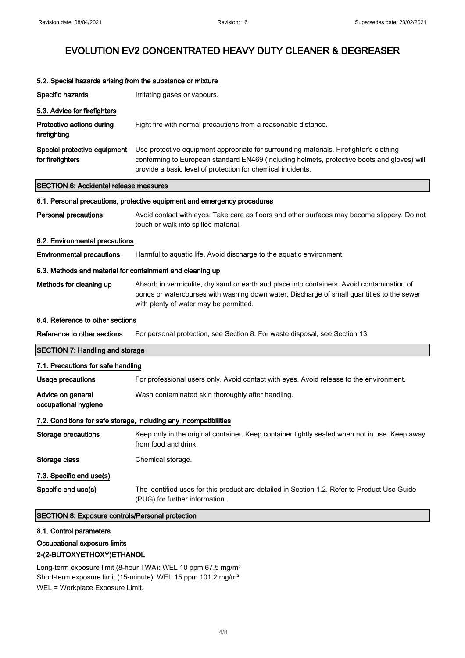| 5.2. Special hazards arising from the substance or mixture |                                                                                                                                                                                                                                                      |
|------------------------------------------------------------|------------------------------------------------------------------------------------------------------------------------------------------------------------------------------------------------------------------------------------------------------|
| Specific hazards                                           | Irritating gases or vapours.                                                                                                                                                                                                                         |
| 5.3. Advice for firefighters                               |                                                                                                                                                                                                                                                      |
| Protective actions during<br>firefighting                  | Fight fire with normal precautions from a reasonable distance.                                                                                                                                                                                       |
| Special protective equipment<br>for firefighters           | Use protective equipment appropriate for surrounding materials. Firefighter's clothing<br>conforming to European standard EN469 (including helmets, protective boots and gloves) will<br>provide a basic level of protection for chemical incidents. |
| <b>SECTION 6: Accidental release measures</b>              |                                                                                                                                                                                                                                                      |
|                                                            | 6.1. Personal precautions, protective equipment and emergency procedures                                                                                                                                                                             |
| <b>Personal precautions</b>                                | Avoid contact with eyes. Take care as floors and other surfaces may become slippery. Do not<br>touch or walk into spilled material.                                                                                                                  |
| 6.2. Environmental precautions                             |                                                                                                                                                                                                                                                      |
| <b>Environmental precautions</b>                           | Harmful to aquatic life. Avoid discharge to the aquatic environment.                                                                                                                                                                                 |
| 6.3. Methods and material for containment and cleaning up  |                                                                                                                                                                                                                                                      |
| Methods for cleaning up                                    | Absorb in vermiculite, dry sand or earth and place into containers. Avoid contamination of<br>ponds or watercourses with washing down water. Discharge of small quantities to the sewer<br>with plenty of water may be permitted.                    |
| 6.4. Reference to other sections                           |                                                                                                                                                                                                                                                      |
| Reference to other sections                                | For personal protection, see Section 8. For waste disposal, see Section 13.                                                                                                                                                                          |
| <b>SECTION 7: Handling and storage</b>                     |                                                                                                                                                                                                                                                      |
| 7.1. Precautions for safe handling                         |                                                                                                                                                                                                                                                      |
| <b>Usage precautions</b>                                   | For professional users only. Avoid contact with eyes. Avoid release to the environment.                                                                                                                                                              |
| Advice on general<br>occupational hygiene                  | Wash contaminated skin thoroughly after handling.                                                                                                                                                                                                    |
|                                                            | 7.2. Conditions for safe storage, including any incompatibilities                                                                                                                                                                                    |
| <b>Storage precautions</b>                                 | Keep only in the original container. Keep container tightly sealed when not in use. Keep away<br>from food and drink.                                                                                                                                |
| Storage class                                              | Chemical storage.                                                                                                                                                                                                                                    |
| 7.3. Specific end use(s)                                   |                                                                                                                                                                                                                                                      |
| Specific end use(s)                                        | The identified uses for this product are detailed in Section 1.2. Refer to Product Use Guide<br>(PUG) for further information.                                                                                                                       |
| SECTION 8: Exposure controls/Personal protection           |                                                                                                                                                                                                                                                      |

#### 8.1. Control parameters

#### Occupational exposure limits

#### 2-(2-BUTOXYETHOXY)ETHANOL

Long-term exposure limit (8-hour TWA): WEL 10 ppm 67.5 mg/m<sup>3</sup> Short-term exposure limit (15-minute): WEL 15 ppm 101.2 mg/m<sup>3</sup> WEL = Workplace Exposure Limit.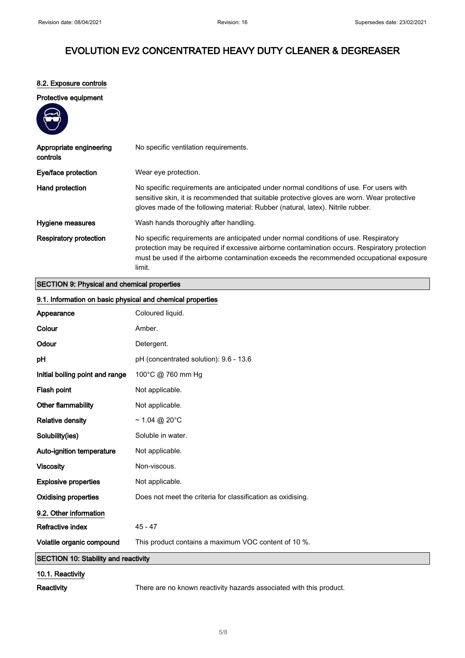#### 8.2. Exposure controls

#### Protective equipment



| Appropriate engineering<br>controls | No specific ventilation requirements.                                                                                                                                                                                                                                                       |
|-------------------------------------|---------------------------------------------------------------------------------------------------------------------------------------------------------------------------------------------------------------------------------------------------------------------------------------------|
| Eye/face protection                 | Wear eye protection.                                                                                                                                                                                                                                                                        |
| Hand protection                     | No specific requirements are anticipated under normal conditions of use. For users with<br>sensitive skin, it is recommended that suitable protective gloves are worn. Wear protective<br>gloves made of the following material: Rubber (natural, latex). Nitrile rubber.                   |
| Hygiene measures                    | Wash hands thoroughly after handling.                                                                                                                                                                                                                                                       |
| <b>Respiratory protection</b>       | No specific requirements are anticipated under normal conditions of use. Respiratory<br>protection may be required if excessive airborne contamination occurs. Respiratory protection<br>must be used if the airborne contamination exceeds the recommended occupational exposure<br>limit. |

### SECTION 9: Physical and chemical properties

| 9.1. Information on basic physical and chemical properties |                                                             |
|------------------------------------------------------------|-------------------------------------------------------------|
| Appearance                                                 | Coloured liquid.                                            |
| Colour                                                     | Amber.                                                      |
| Odour                                                      | Detergent.                                                  |
| pH                                                         | pH (concentrated solution): 9.6 - 13.6                      |
| Initial boiling point and range                            | 100°C @ 760 mm Hg                                           |
| Flash point                                                | Not applicable.                                             |
| <b>Other flammability</b>                                  | Not applicable.                                             |
| <b>Relative density</b>                                    | $\sim$ 1.04 @ 20°C                                          |
| Solubility(ies)                                            | Soluble in water.                                           |
| Auto-ignition temperature                                  | Not applicable.                                             |
| <b>Viscosity</b>                                           | Non-viscous.                                                |
| <b>Explosive properties</b>                                | Not applicable.                                             |
| <b>Oxidising properties</b>                                | Does not meet the criteria for classification as oxidising. |
| 9.2. Other information                                     |                                                             |
| Refractive index                                           | $45 - 47$                                                   |
| Volatile organic compound                                  | This product contains a maximum VOC content of 10 %.        |
| <b>SECTION 10: Stability and reactivity</b>                |                                                             |
| 10.1. Reactivity                                           |                                                             |

Reactivity There are no known reactivity hazards associated with this product.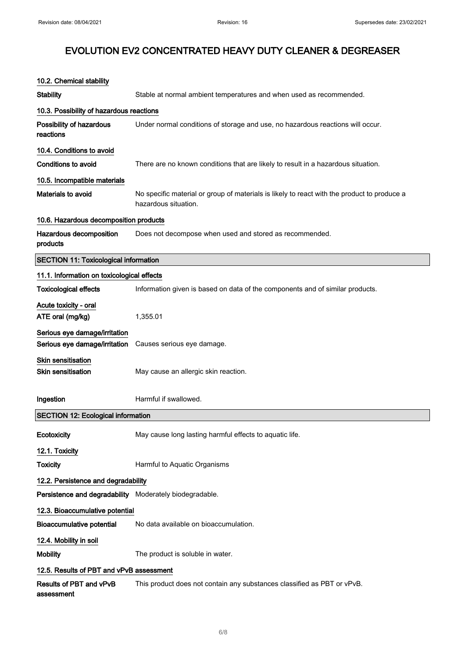| 10.2. Chemical stability                                       |                                                                                                                     |  |
|----------------------------------------------------------------|---------------------------------------------------------------------------------------------------------------------|--|
| <b>Stability</b>                                               | Stable at normal ambient temperatures and when used as recommended.                                                 |  |
| 10.3. Possibility of hazardous reactions                       |                                                                                                                     |  |
| Possibility of hazardous<br>reactions                          | Under normal conditions of storage and use, no hazardous reactions will occur.                                      |  |
| 10.4. Conditions to avoid                                      |                                                                                                                     |  |
| Conditions to avoid                                            | There are no known conditions that are likely to result in a hazardous situation.                                   |  |
| 10.5. Incompatible materials                                   |                                                                                                                     |  |
| <b>Materials to avoid</b>                                      | No specific material or group of materials is likely to react with the product to produce a<br>hazardous situation. |  |
| 10.6. Hazardous decomposition products                         |                                                                                                                     |  |
| Hazardous decomposition<br>products                            | Does not decompose when used and stored as recommended.                                                             |  |
| <b>SECTION 11: Toxicological information</b>                   |                                                                                                                     |  |
| 11.1. Information on toxicological effects                     |                                                                                                                     |  |
| <b>Toxicological effects</b>                                   | Information given is based on data of the components and of similar products.                                       |  |
| Acute toxicity - oral<br>ATE oral (mg/kg)                      | 1,355.01                                                                                                            |  |
| Serious eye damage/irritation<br>Serious eye damage/irritation | Causes serious eye damage.                                                                                          |  |
| <b>Skin sensitisation</b><br><b>Skin sensitisation</b>         | May cause an allergic skin reaction.                                                                                |  |
| Ingestion                                                      | Harmful if swallowed.                                                                                               |  |
| <b>SECTION 12: Ecological information</b>                      |                                                                                                                     |  |
| Ecotoxicity                                                    | May cause long lasting harmful effects to aquatic life.                                                             |  |
| 12.1. Toxicity                                                 |                                                                                                                     |  |
| <b>Toxicity</b>                                                | Harmful to Aquatic Organisms                                                                                        |  |
| 12.2. Persistence and degradability                            |                                                                                                                     |  |
| Persistence and degradability Moderately biodegradable.        |                                                                                                                     |  |
| 12.3. Bioaccumulative potential                                |                                                                                                                     |  |
| <b>Bioaccumulative potential</b>                               | No data available on bioaccumulation.                                                                               |  |
| 12.4. Mobility in soil                                         |                                                                                                                     |  |
| <b>Mobility</b>                                                | The product is soluble in water.                                                                                    |  |
| 12.5. Results of PBT and vPvB assessment                       |                                                                                                                     |  |
| Results of PBT and vPvB<br>assessment                          | This product does not contain any substances classified as PBT or vPvB.                                             |  |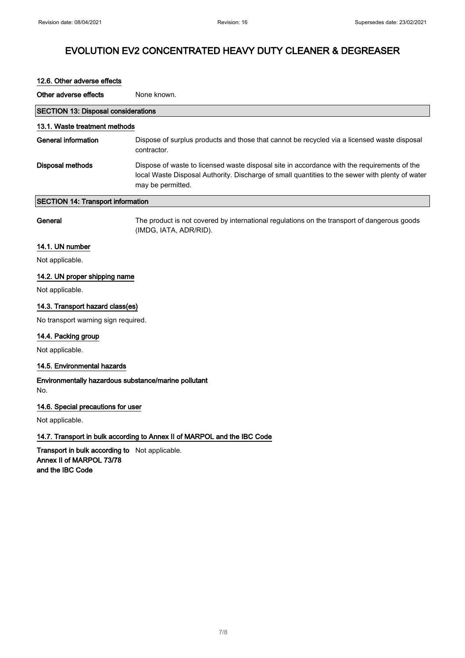| 12.6. Other adverse effects                                              |                                                                                                                                                                                                                     |  |
|--------------------------------------------------------------------------|---------------------------------------------------------------------------------------------------------------------------------------------------------------------------------------------------------------------|--|
| Other adverse effects                                                    | None known.                                                                                                                                                                                                         |  |
| <b>SECTION 13: Disposal considerations</b>                               |                                                                                                                                                                                                                     |  |
| 13.1. Waste treatment methods                                            |                                                                                                                                                                                                                     |  |
| <b>General information</b>                                               | Dispose of surplus products and those that cannot be recycled via a licensed waste disposal<br>contractor.                                                                                                          |  |
| <b>Disposal methods</b>                                                  | Dispose of waste to licensed waste disposal site in accordance with the requirements of the<br>local Waste Disposal Authority. Discharge of small quantities to the sewer with plenty of water<br>may be permitted. |  |
| <b>SECTION 14: Transport information</b>                                 |                                                                                                                                                                                                                     |  |
| General                                                                  | The product is not covered by international regulations on the transport of dangerous goods<br>(IMDG, IATA, ADR/RID).                                                                                               |  |
| 14.1. UN number                                                          |                                                                                                                                                                                                                     |  |
| Not applicable.                                                          |                                                                                                                                                                                                                     |  |
| 14.2. UN proper shipping name                                            |                                                                                                                                                                                                                     |  |
| Not applicable.                                                          |                                                                                                                                                                                                                     |  |
| 14.3. Transport hazard class(es)                                         |                                                                                                                                                                                                                     |  |
| No transport warning sign required.                                      |                                                                                                                                                                                                                     |  |
| 14.4. Packing group                                                      |                                                                                                                                                                                                                     |  |
| Not applicable.                                                          |                                                                                                                                                                                                                     |  |
| 14.5. Environmental hazards                                              |                                                                                                                                                                                                                     |  |
| Environmentally hazardous substance/marine pollutant<br>No.              |                                                                                                                                                                                                                     |  |
| 14.6. Special precautions for user                                       |                                                                                                                                                                                                                     |  |
| Not applicable.                                                          |                                                                                                                                                                                                                     |  |
| 14.7. Transport in bulk according to Annex II of MARPOL and the IBC Code |                                                                                                                                                                                                                     |  |

Transport in bulk according to Not applicable. Annex II of MARPOL 73/78 and the IBC Code